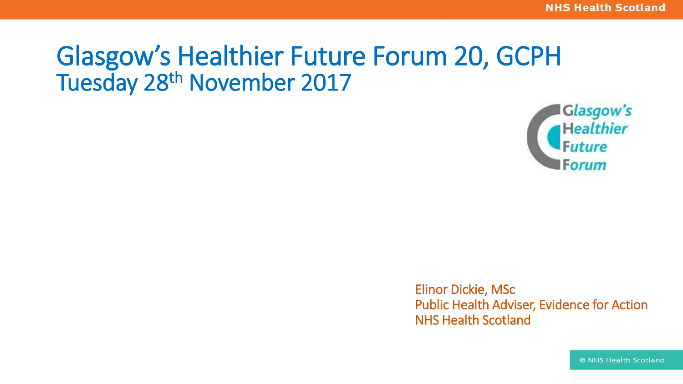# Glasgow's Healthier Future Forum 20, GCPH Tuesday 28th November 2017



Elinor Dickie, MSc Public Health Adviser, Evidence for Action NHS Health Scotland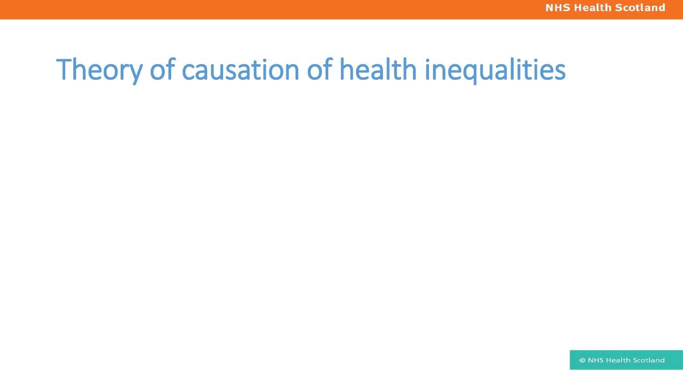### Theory of causation of health inequalities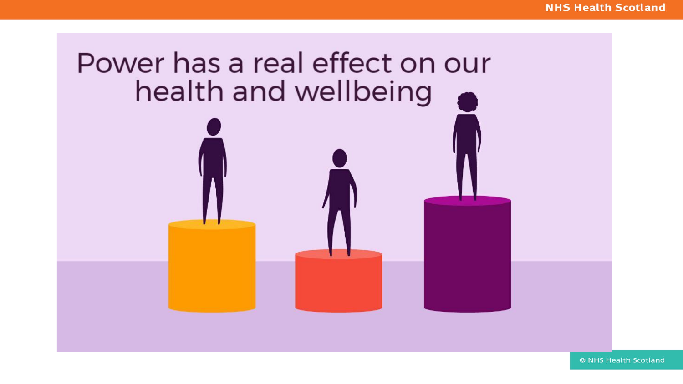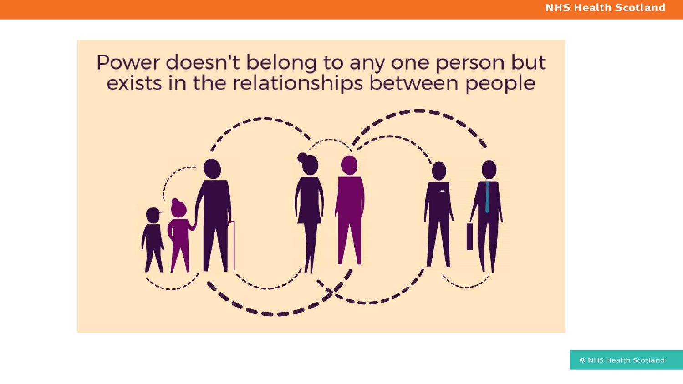## Power doesn't belong to any one person but<br>exists in the relationships between people

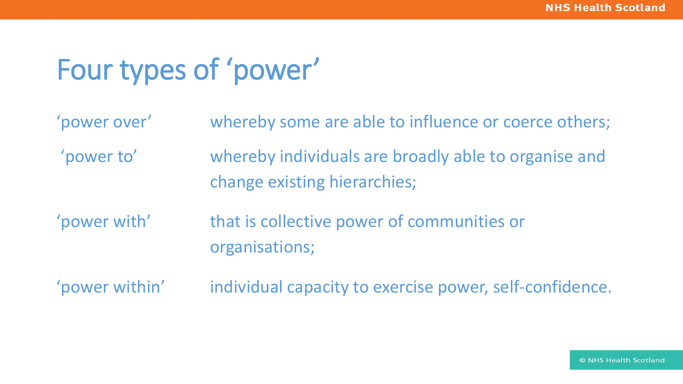### Four types of 'power'

| 'power over'   | whereby some are able to influence or coerce others;                                 |
|----------------|--------------------------------------------------------------------------------------|
| 'power to'     | whereby individuals are broadly able to organise and<br>change existing hierarchies; |
| 'power with'   | that is collective power of communities or<br>organisations;                         |
| 'power within' | individual capacity to exercise power, self-confidence.                              |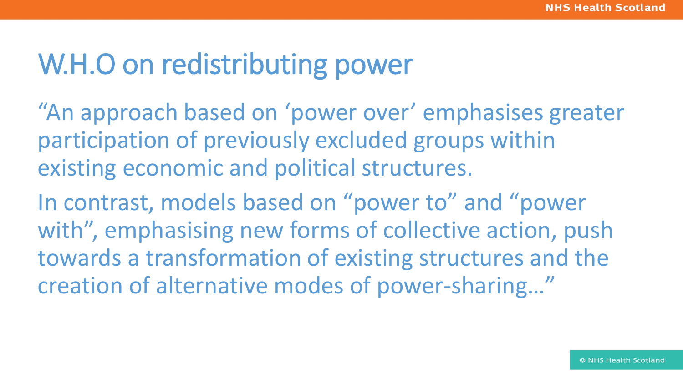#### W.H.O on redistributing power

"An approach based on 'power over' emphasises greater participation of previously excluded groups within existing economic and political structures.

In contrast, models based on "power to" and "power with", emphasising new forms of collective action, push towards a transformation of existing structures and the creation of alternative modes of power-sharing…"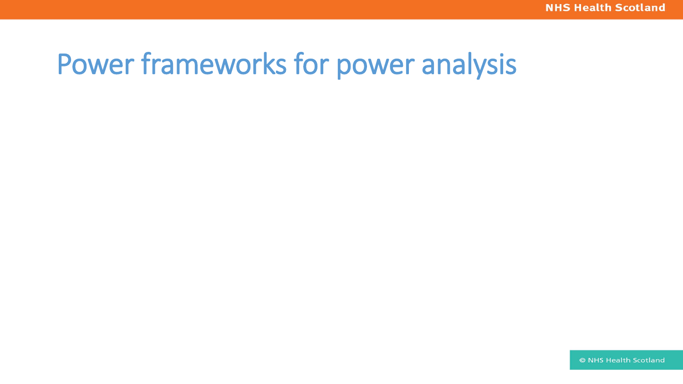#### Power frameworks for power analysis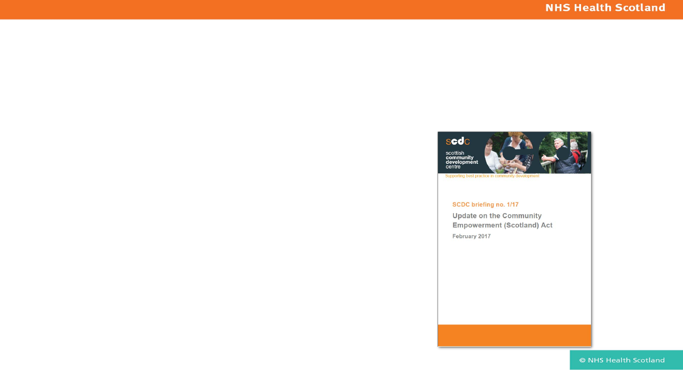

Supporting best practice in community development

#### SCDC briefing no. 1/17

**Update on the Community Empowerment (Scotland) Act** February 2017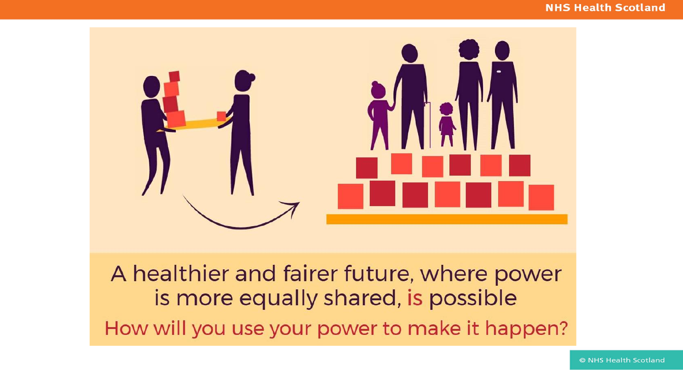#### **NHS Health Scotland**



A healthier and fairer future, where power is more equally shared, is possible How will you use your power to make it happen?